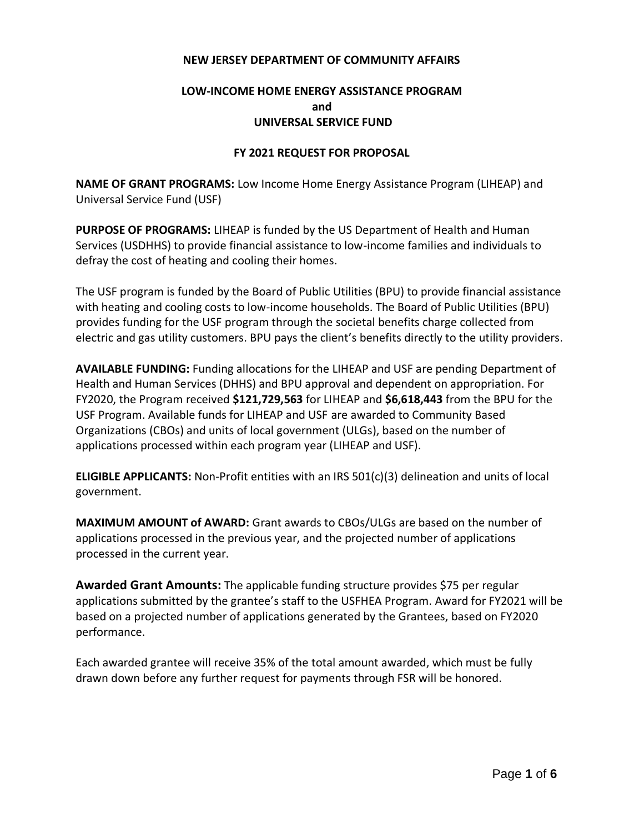### **NEW JERSEY DEPARTMENT OF COMMUNITY AFFAIRS**

# **LOW-INCOME HOME ENERGY ASSISTANCE PROGRAM and UNIVERSAL SERVICE FUND**

### **FY 2021 REQUEST FOR PROPOSAL**

**NAME OF GRANT PROGRAMS:** Low Income Home Energy Assistance Program (LIHEAP) and Universal Service Fund (USF)

**PURPOSE OF PROGRAMS:** LIHEAP is funded by the US Department of Health and Human Services (USDHHS) to provide financial assistance to low-income families and individuals to defray the cost of heating and cooling their homes.

The USF program is funded by the Board of Public Utilities (BPU) to provide financial assistance with heating and cooling costs to low-income households. The Board of Public Utilities (BPU) provides funding for the USF program through the societal benefits charge collected from electric and gas utility customers. BPU pays the client's benefits directly to the utility providers.

**AVAILABLE FUNDING:** Funding allocations for the LIHEAP and USF are pending Department of Health and Human Services (DHHS) and BPU approval and dependent on appropriation. For FY2020, the Program received **\$121,729,563** for LIHEAP and **\$6,618,443** from the BPU for the USF Program. Available funds for LIHEAP and USF are awarded to Community Based Organizations (CBOs) and units of local government (ULGs), based on the number of applications processed within each program year (LIHEAP and USF).

**ELIGIBLE APPLICANTS:** Non-Profit entities with an IRS 501(c)(3) delineation and units of local government.

**MAXIMUM AMOUNT of AWARD:** Grant awards to CBOs/ULGs are based on the number of applications processed in the previous year, and the projected number of applications processed in the current year.

**Awarded Grant Amounts:** The applicable funding structure provides \$75 per regular applications submitted by the grantee's staff to the USFHEA Program. Award for FY2021 will be based on a projected number of applications generated by the Grantees, based on FY2020 performance.

Each awarded grantee will receive 35% of the total amount awarded, which must be fully drawn down before any further request for payments through FSR will be honored.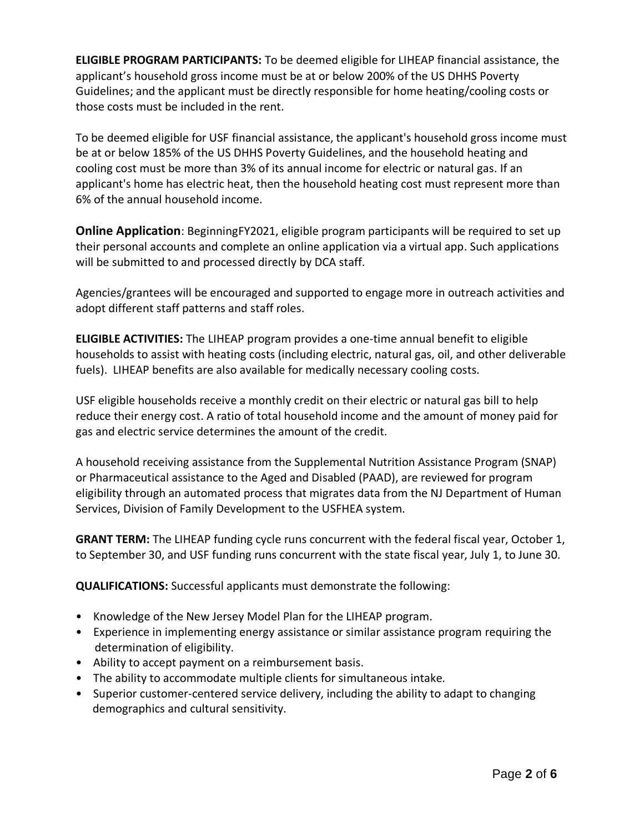**ELIGIBLE PROGRAM PARTICIPANTS:** To be deemed eligible for LIHEAP financial assistance, the applicant's household gross income must be at or below 200% of the US DHHS Poverty Guidelines; and the applicant must be directly responsible for home heating/cooling costs or those costs must be included in the rent.

To be deemed eligible for USF financial assistance, the applicant's household gross income must be at or below 185% of the US DHHS Poverty Guidelines, and the household heating and cooling cost must be more than 3% of its annual income for electric or natural gas. If an applicant's home has electric heat, then the household heating cost must represent more than 6% of the annual household income.

**Online Application**: BeginningFY2021, eligible program participants will be required to set up their personal accounts and complete an online application via a virtual app. Such applications will be submitted to and processed directly by DCA staff.

Agencies/grantees will be encouraged and supported to engage more in outreach activities and adopt different staff patterns and staff roles.

**ELIGIBLE ACTIVITIES:** The LIHEAP program provides a one-time annual benefit to eligible households to assist with heating costs (including electric, natural gas, oil, and other deliverable fuels). LIHEAP benefits are also available for medically necessary cooling costs.

USF eligible households receive a monthly credit on their electric or natural gas bill to help reduce their energy cost. A ratio of total household income and the amount of money paid for gas and electric service determines the amount of the credit.

A household receiving assistance from the Supplemental Nutrition Assistance Program (SNAP) or Pharmaceutical assistance to the Aged and Disabled (PAAD), are reviewed for program eligibility through an automated process that migrates data from the NJ Department of Human Services, Division of Family Development to the USFHEA system.

**GRANT TERM:** The LIHEAP funding cycle runs concurrent with the federal fiscal year, October 1, to September 30, and USF funding runs concurrent with the state fiscal year, July 1, to June 30.

**QUALIFICATIONS:** Successful applicants must demonstrate the following:

- Knowledge of the New Jersey Model Plan for the LIHEAP program.
- Experience in implementing energy assistance or similar assistance program requiring the determination of eligibility.
- Ability to accept payment on a reimbursement basis.
- The ability to accommodate multiple clients for simultaneous intake.
- Superior customer-centered service delivery, including the ability to adapt to changing demographics and cultural sensitivity.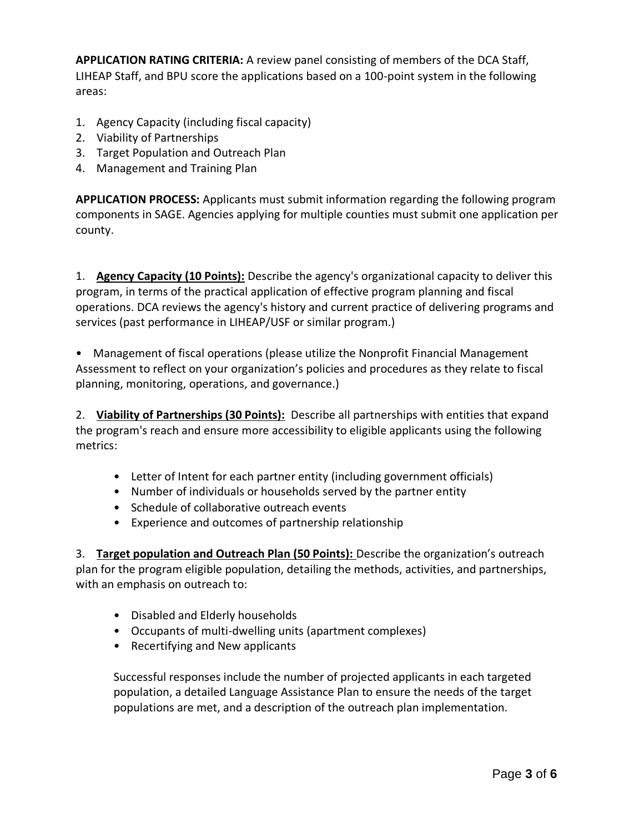**APPLICATION RATING CRITERIA:** A review panel consisting of members of the DCA Staff, LIHEAP Staff, and BPU score the applications based on a 100-point system in the following areas:

- 1. Agency Capacity (including fiscal capacity)
- 2. Viability of Partnerships
- 3. Target Population and Outreach Plan
- 4. Management and Training Plan

**APPLICATION PROCESS:** Applicants must submit information regarding the following program components in SAGE. Agencies applying for multiple counties must submit one application per county.

1. **Agency Capacity (10 Points):** Describe the agency's organizational capacity to deliver this program, in terms of the practical application of effective program planning and fiscal operations. DCA reviews the agency's history and current practice of delivering programs and services (past performance in LIHEAP/USF or similar program.)

• Management of fiscal operations (please utilize the Nonprofit Financial Management Assessment to reflect on your organization's policies and procedures as they relate to fiscal planning, monitoring, operations, and governance.)

2. **Viability of Partnerships (30 Points):** Describe all partnerships with entities that expand the program's reach and ensure more accessibility to eligible applicants using the following metrics:

- Letter of Intent for each partner entity (including government officials)
- Number of individuals or households served by the partner entity
- Schedule of collaborative outreach events
- Experience and outcomes of partnership relationship

3. **Target population and Outreach Plan (50 Points):** Describe the organization's outreach plan for the program eligible population, detailing the methods, activities, and partnerships, with an emphasis on outreach to:

- Disabled and Elderly households
- Occupants of multi-dwelling units (apartment complexes)
- Recertifying and New applicants

Successful responses include the number of projected applicants in each targeted population, a detailed Language Assistance Plan to ensure the needs of the target populations are met, and a description of the outreach plan implementation.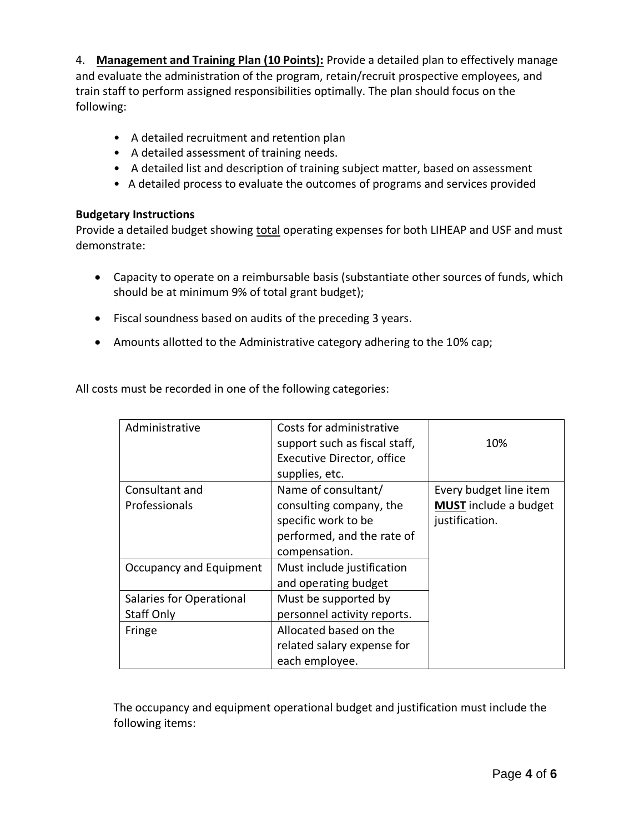4. **Management and Training Plan (10 Points):** Provide a detailed plan to effectively manage and evaluate the administration of the program, retain/recruit prospective employees, and train staff to perform assigned responsibilities optimally. The plan should focus on the following:

- A detailed recruitment and retention plan
- A detailed assessment of training needs.
- A detailed list and description of training subject matter, based on assessment
- A detailed process to evaluate the outcomes of programs and services provided

# **Budgetary Instructions**

Provide a detailed budget showing total operating expenses for both LIHEAP and USF and must demonstrate:

- Capacity to operate on a reimbursable basis (substantiate other sources of funds, which should be at minimum 9% of total grant budget);
- Fiscal soundness based on audits of the preceding 3 years.
- Amounts allotted to the Administrative category adhering to the 10% cap;

All costs must be recorded in one of the following categories:

| Administrative           | Costs for administrative<br>support such as fiscal staff,<br>Executive Director, office<br>supplies, etc. | 10%                          |
|--------------------------|-----------------------------------------------------------------------------------------------------------|------------------------------|
| Consultant and           | Name of consultant/                                                                                       | Every budget line item       |
| Professionals            | consulting company, the                                                                                   | <b>MUST</b> include a budget |
|                          | specific work to be                                                                                       | justification.               |
|                          | performed, and the rate of                                                                                |                              |
|                          | compensation.                                                                                             |                              |
| Occupancy and Equipment  | Must include justification                                                                                |                              |
|                          | and operating budget                                                                                      |                              |
| Salaries for Operational | Must be supported by                                                                                      |                              |
| Staff Only               | personnel activity reports.                                                                               |                              |
| Fringe                   | Allocated based on the                                                                                    |                              |
|                          | related salary expense for                                                                                |                              |
|                          | each employee.                                                                                            |                              |

The occupancy and equipment operational budget and justification must include the following items: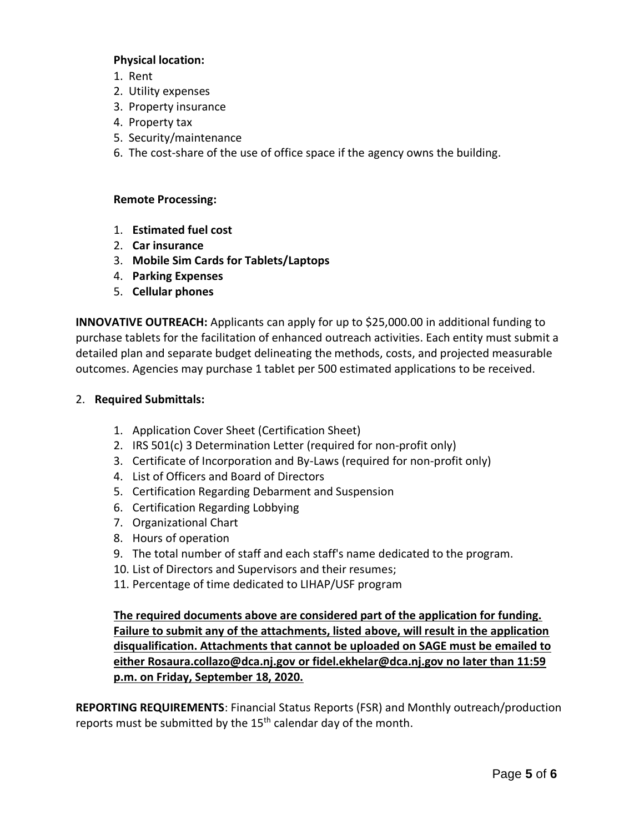### **Physical location:**

- 1. Rent
- 2. Utility expenses
- 3. Property insurance
- 4. Property tax
- 5. Security/maintenance
- 6. The cost-share of the use of office space if the agency owns the building.

# **Remote Processing:**

- 1. **Estimated fuel cost**
- 2. **Car insurance**
- 3. **Mobile Sim Cards for Tablets/Laptops**
- 4. **Parking Expenses**
- 5. **Cellular phones**

**INNOVATIVE OUTREACH:** Applicants can apply for up to \$25,000.00 in additional funding to purchase tablets for the facilitation of enhanced outreach activities. Each entity must submit a detailed plan and separate budget delineating the methods, costs, and projected measurable outcomes. Agencies may purchase 1 tablet per 500 estimated applications to be received.

# 2. **Required Submittals:**

- 1. Application Cover Sheet (Certification Sheet)
- 2. IRS 501(c) 3 Determination Letter (required for non-profit only)
- 3. Certificate of Incorporation and By‐Laws (required for non-profit only)
- 4. List of Officers and Board of Directors
- 5. Certification Regarding Debarment and Suspension
- 6. Certification Regarding Lobbying
- 7. Organizational Chart
- 8. Hours of operation
- 9. The total number of staff and each staff's name dedicated to the program.
- 10. List of Directors and Supervisors and their resumes;
- 11. Percentage of time dedicated to LIHAP/USF program

**The required documents above are considered part of the application for funding. Failure to submit any of the attachments, listed above, will result in the application disqualification. Attachments that cannot be uploaded on SAGE must be emailed to either [Rosaura.collazo@dca.nj.gov](mailto:Rosaura.collazo@dca.nj.gov) or [fidel.ekhelar@dca.nj.gov](mailto:fidel.ekhelar@dca.nj.gov) no later than 11:59 p.m. on Friday, September 18, 2020.**

**REPORTING REQUIREMENTS**: Financial Status Reports (FSR) and Monthly outreach/production reports must be submitted by the  $15<sup>th</sup>$  calendar day of the month.